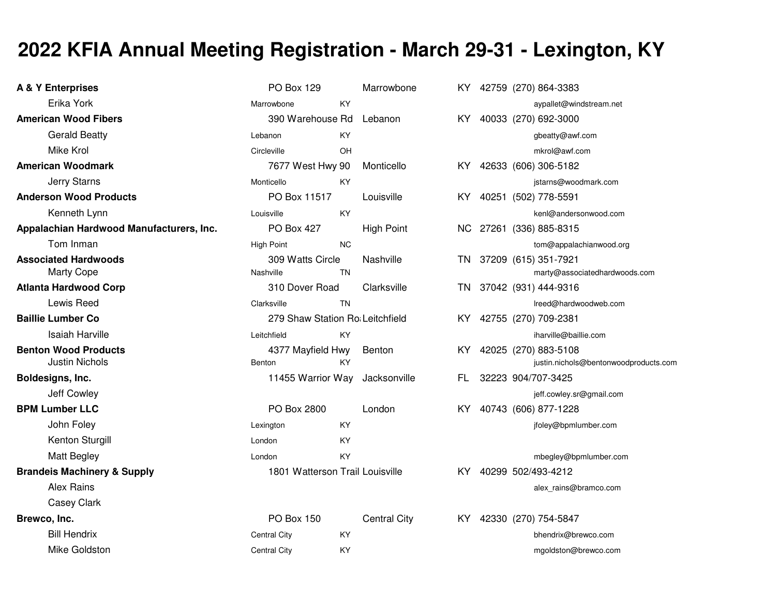## **2022 KFIA Annual Meeting Registration - March 29-31 - Lexington, KY**

| A & Y Enterprises                                    | PO Box 129                      |           | Marrowbone          |     | KY 42759 (270) 864-3383                                          |
|------------------------------------------------------|---------------------------------|-----------|---------------------|-----|------------------------------------------------------------------|
| Erika York                                           | Marrowbone                      | KY        |                     |     | aypallet@windstream.net                                          |
| <b>American Wood Fibers</b>                          | 390 Warehouse Rd                |           | Lebanon             |     | KY 40033 (270) 692-3000                                          |
| <b>Gerald Beatty</b>                                 | Lebanon                         | KY        |                     |     | gbeatty@awf.com                                                  |
| Mike Krol                                            | Circleville                     | <b>OH</b> |                     |     | mkrol@awf.com                                                    |
| <b>American Woodmark</b>                             | 7677 West Hwy 90                |           | Monticello          |     | KY 42633 (606) 306-5182                                          |
| <b>Jerry Starns</b>                                  | Monticello                      | KY        |                     |     | jstarns@woodmark.com                                             |
| <b>Anderson Wood Products</b>                        | PO Box 11517                    |           | Louisville          |     | KY 40251 (502) 778-5591                                          |
| Kenneth Lynn                                         | Louisville                      | KY        |                     |     | kenl@andersonwood.com                                            |
| Appalachian Hardwood Manufacturers, Inc.             | <b>PO Box 427</b>               |           | <b>High Point</b>   |     | NC 27261 (336) 885-8315                                          |
| Tom Inman                                            | <b>High Point</b>               | <b>NC</b> |                     |     | tom@appalachianwood.org                                          |
| <b>Associated Hardwoods</b><br><b>Marty Cope</b>     | 309 Watts Circle<br>Nashville   | <b>TN</b> | Nashville           |     | TN 37209 (615) 351-7921<br>marty@associatedhardwoods.com         |
| <b>Atlanta Hardwood Corp</b>                         | 310 Dover Road                  |           | Clarksville         |     | TN 37042 (931) 444-9316                                          |
| Lewis Reed                                           | Clarksville                     | <b>TN</b> |                     |     | Ireed@hardwoodweb.com                                            |
| <b>Baillie Lumber Co</b>                             | 279 Shaw Station Ro Leitchfield |           |                     |     | KY 42755 (270) 709-2381                                          |
| <b>Isaiah Harville</b>                               | Leitchfield                     | KY        |                     |     | iharville@baillie.com                                            |
| <b>Benton Wood Products</b><br><b>Justin Nichols</b> | 4377 Mayfield Hwy<br>Benton     | KY        | Benton              |     | KY 42025 (270) 883-5108<br>justin.nichols@bentonwoodproducts.com |
| Boldesigns, Inc.                                     | 11455 Warrior Way Jacksonville  |           |                     | FL. | 32223 904/707-3425                                               |
| Jeff Cowley                                          |                                 |           |                     |     | jeff.cowley.sr@gmail.com                                         |
| <b>BPM Lumber LLC</b>                                | PO Box 2800                     |           | London              |     | KY 40743 (606) 877-1228                                          |
| John Foley                                           | Lexington                       | KY        |                     |     | jfoley@bpmlumber.com                                             |
| Kenton Sturgill                                      | London                          | KY        |                     |     |                                                                  |
| <b>Matt Begley</b>                                   | London                          | KY        |                     |     | mbegley@bpmlumber.com                                            |
| <b>Brandeis Machinery &amp; Supply</b>               | 1801 Watterson Trail Louisville |           |                     |     | KY 40299 502/493-4212                                            |
| <b>Alex Rains</b>                                    |                                 |           |                     |     | alex_rains@bramco.com                                            |
| Casey Clark                                          |                                 |           |                     |     |                                                                  |
| Brewco, Inc.                                         | <b>PO Box 150</b>               |           | <b>Central City</b> |     | KY 42330 (270) 754-5847                                          |
| <b>Bill Hendrix</b>                                  | Central City                    | ΚY        |                     |     | bhendrix@brewco.com                                              |
| Mike Goldston                                        | Central City                    | KY        |                     |     | mgoldston@brewco.com                                             |
|                                                      |                                 |           |                     |     |                                                                  |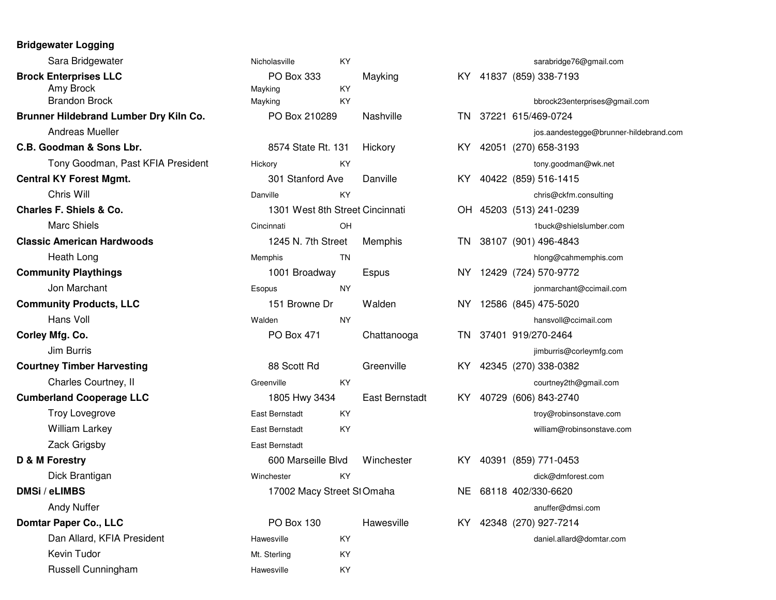## **Bridgewater Logging**

| Sara Bridgewater                       | Nicholasville                   | KY.       |                |     | sarabridge76@gmail.com   |
|----------------------------------------|---------------------------------|-----------|----------------|-----|--------------------------|
| <b>Brock Enterprises LLC</b>           | PO Box 333                      |           | Mayking        |     | KY 41837 (859) 338-7193  |
| Amy Brock                              | Mayking                         | KY        |                |     |                          |
| <b>Brandon Brock</b>                   | Mayking                         | KY.       |                |     | bbrock23enterprises@gm   |
| Brunner Hildebrand Lumber Dry Kiln Co. | PO Box 210289                   |           | Nashville      |     | TN 37221 615/469-0724    |
| <b>Andreas Mueller</b>                 |                                 |           |                |     | jos.aandestegge@brunne   |
| C.B. Goodman & Sons Lbr.               | 8574 State Rt. 131              |           | Hickory        |     | KY 42051 (270) 658-3193  |
| Tony Goodman, Past KFIA President      | Hickory                         | KY        |                |     | tony.goodman@wk.net      |
| <b>Central KY Forest Mgmt.</b>         | 301 Stanford Ave                |           | Danville       |     | KY 40422 (859) 516-1415  |
| Chris Will                             | Danville                        | KY.       |                |     | chris@ckfm.consulting    |
| Charles F. Shiels & Co.                | 1301 West 8th Street Cincinnati |           |                |     | OH 45203 (513) 241-0239  |
| <b>Marc Shiels</b>                     | Cincinnati                      | OH        |                |     | 1buck@shielslumber.con   |
| <b>Classic American Hardwoods</b>      | 1245 N. 7th Street              |           | Memphis        |     | TN 38107 (901) 496-4843  |
| Heath Long                             | Memphis                         | ΤN        |                |     | hlong@cahmemphis.com     |
| <b>Community Playthings</b>            | 1001 Broadway                   |           | Espus          |     | NY 12429 (724) 570-9772  |
| Jon Marchant                           | Esopus                          | NY.       |                |     | jonmarchant@ccimail.cor  |
| <b>Community Products, LLC</b>         | 151 Browne Dr                   |           | Walden         |     | NY 12586 (845) 475-5020  |
| Hans Voll                              | Walden                          | <b>NY</b> |                |     | hansvoll@ccimail.com     |
| Corley Mfg. Co.                        | PO Box 471                      |           | Chattanooga    |     | TN 37401 919/270-2464    |
| Jim Burris                             |                                 |           |                |     | jimburris@corleymfg.com  |
| <b>Courtney Timber Harvesting</b>      | 88 Scott Rd                     |           | Greenville     |     | KY 42345 (270) 338-0382  |
| Charles Courtney, II                   | Greenville                      | KY        |                |     | courtney2th@gmail.com    |
| <b>Cumberland Cooperage LLC</b>        | 1805 Hwy 3434                   |           | East Bernstadt | KY. | 40729 (606) 843-2740     |
| Troy Lovegrove                         | East Bernstadt                  | KY        |                |     | troy@robinsonstave.com   |
| <b>William Larkey</b>                  | East Bernstadt                  | KY        |                |     | william@robinsonstave.co |
| Zack Grigsby                           | East Bernstadt                  |           |                |     |                          |
| D & M Forestry                         | 600 Marseille Blvd              |           | Winchester     |     | KY 40391 (859) 771-0453  |
| Dick Brantigan                         | Winchester                      | KY        |                |     | dick@dmforest.com        |
| DMSi / eLIMBS                          | 17002 Macy Street StOmaha       |           |                |     | NE 68118 402/330-6620    |
| <b>Andy Nuffer</b>                     |                                 |           |                |     | anuffer@dmsi.com         |
| <b>Domtar Paper Co., LLC</b>           | <b>PO Box 130</b>               |           | Hawesville     |     | KY 42348 (270) 927-7214  |
| Dan Allard, KFIA President             | Hawesville                      | KY        |                |     | daniel.allard@domtar.cor |
| Kevin Tudor                            | Mt. Sterling                    | KY        |                |     |                          |
| Russell Cunningham                     | Hawesville                      | KY        |                |     |                          |
|                                        |                                 |           |                |     |                          |

| er                    | Nicholasville                   | KY.       |                       |    | sarabridge76@gmail.com                 |
|-----------------------|---------------------------------|-----------|-----------------------|----|----------------------------------------|
| Ć                     | PO Box 333                      |           | Mayking               |    | KY 41837 (859) 338-7193                |
|                       | Mayking                         | KY        |                       |    |                                        |
|                       | Mayking                         | KY        |                       |    | bbrock23enterprises@gmail.com          |
| umber Dry Kiln Co.    | PO Box 210289                   |           | Nashville             |    | TN 37221 615/469-0724                  |
|                       |                                 |           |                       |    | jos.aandestegge@brunner-hildebrand.com |
| s Lbr.                | 8574 State Rt. 131              |           | Hickory               |    | KY 42051 (270) 658-3193                |
| , Past KFIA President | Hickory                         | KY        |                       |    | tony.goodman@wk.net                    |
| mt.                   | 301 Stanford Ave                |           | Danville              |    | KY 40422 (859) 516-1415                |
|                       | Danville                        | KY        |                       |    | chris@ckfm.consulting                  |
| ٥.                    | 1301 West 8th Street Cincinnati |           |                       |    | OH 45203 (513) 241-0239                |
|                       | Cincinnati                      | <b>OH</b> |                       |    | 1buck@shielslumber.com                 |
| dwoods                | 1245 N. 7th Street              |           | Memphis               |    | TN 38107 (901) 496-4843                |
|                       | Memphis                         | TN        |                       |    | hlong@cahmemphis.com                   |
| S                     | 1001 Broadway                   |           | Espus                 |    | NY 12429 (724) 570-9772                |
|                       | Esopus                          | <b>NY</b> |                       |    | jonmarchant@ccimail.com                |
| , LLC                 | 151 Browne Dr                   |           | Walden                |    | NY 12586 (845) 475-5020                |
|                       | Walden                          | <b>NY</b> |                       |    | hansvoll@ccimail.com                   |
|                       | PO Box 471                      |           | Chattanooga           | TN | 37401 919/270-2464                     |
|                       |                                 |           |                       |    | jimburris@corleymfg.com                |
| vesting               | 88 Scott Rd                     |           | Greenville            |    | KY 42345 (270) 338-0382                |
| ey, II                | Greenville                      | KY        |                       |    | courtney2th@gmail.com                  |
| ge LLC                | 1805 Hwy 3434                   |           | <b>East Bernstadt</b> |    | KY 40729 (606) 843-2740                |
|                       | East Bernstadt                  | <b>KY</b> |                       |    | troy@robinsonstave.com                 |
|                       | East Bernstadt                  | KY        |                       |    | william@robinsonstave.com              |
|                       | East Bernstadt                  |           |                       |    |                                        |
|                       | 600 Marseille Blvd              |           | Winchester            |    | KY 40391 (859) 771-0453                |
|                       | Winchester                      | KY        |                       |    | dick@dmforest.com                      |
|                       | 17002 Macy Street StOmaha       |           |                       |    | NE 68118 402/330-6620                  |
|                       |                                 |           |                       |    | anuffer@dmsi.com                       |
| C                     | PO Box 130                      |           | Hawesville            |    | KY 42348 (270) 927-7214                |
| A President           | Hawesville                      | <b>KY</b> |                       |    |                                        |
|                       |                                 |           |                       |    | daniel.allard@domtar.com               |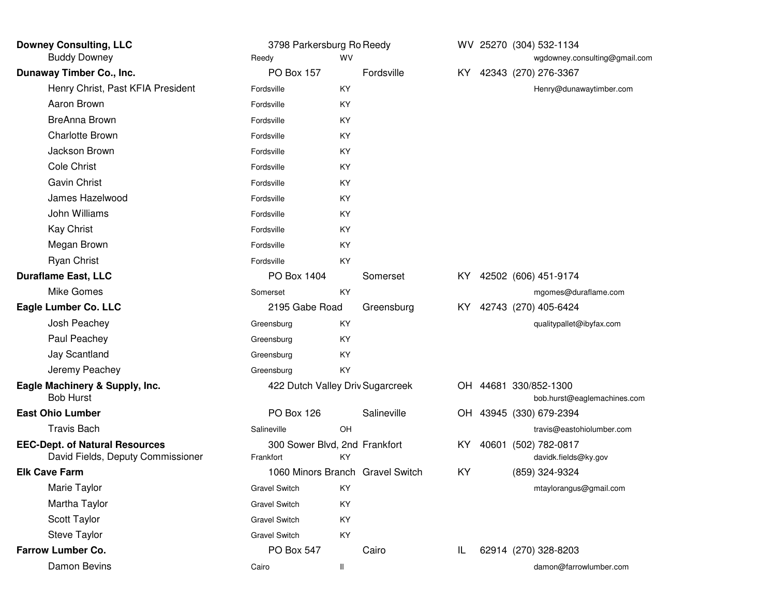| <b>Downey Consulting, LLC</b>                                              | 3798 Parkersburg Ro Reedy                  |    |                                  |      | WV 25270 (304) 532-1134                              |
|----------------------------------------------------------------------------|--------------------------------------------|----|----------------------------------|------|------------------------------------------------------|
| <b>Buddy Downey</b>                                                        | <b>WV</b><br>Reedy                         |    |                                  |      | wgdowney.consulting@gmail.com                        |
| Dunaway Timber Co., Inc.                                                   | PO Box 157                                 |    | Fordsville                       | KY I | 42343 (270) 276-3367                                 |
| Henry Christ, Past KFIA President                                          | Fordsville                                 | KY |                                  |      | Henry@dunawaytimber.com                              |
| Aaron Brown                                                                | Fordsville                                 | KY |                                  |      |                                                      |
| <b>BreAnna Brown</b>                                                       | Fordsville                                 | KY |                                  |      |                                                      |
| <b>Charlotte Brown</b>                                                     | Fordsville                                 | KY |                                  |      |                                                      |
| Jackson Brown                                                              | Fordsville                                 | KY |                                  |      |                                                      |
| <b>Cole Christ</b>                                                         | Fordsville                                 | KY |                                  |      |                                                      |
| <b>Gavin Christ</b>                                                        | Fordsville                                 | KY |                                  |      |                                                      |
| James Hazelwood                                                            | Fordsville                                 | KY |                                  |      |                                                      |
| John Williams                                                              | Fordsville                                 | KY |                                  |      |                                                      |
| <b>Kay Christ</b>                                                          | Fordsville                                 | KY |                                  |      |                                                      |
| Megan Brown                                                                | Fordsville                                 | KY |                                  |      |                                                      |
| <b>Ryan Christ</b>                                                         | Fordsville                                 | KY |                                  |      |                                                      |
| <b>Duraflame East, LLC</b>                                                 | PO Box 1404                                |    | Somerset                         |      | KY 42502 (606) 451-9174                              |
| Mike Gomes                                                                 | Somerset                                   | KY |                                  |      | mgomes@duraflame.com                                 |
| Eagle Lumber Co. LLC                                                       | 2195 Gabe Road                             |    | Greensburg                       | KY.  | 42743 (270) 405-6424                                 |
| Josh Peachey                                                               | Greensburg                                 | KY |                                  |      | qualitypallet@ibyfax.com                             |
| Paul Peachey                                                               | Greensburg                                 | KY |                                  |      |                                                      |
| Jay Scantland                                                              | Greensburg                                 | KY |                                  |      |                                                      |
| Jeremy Peachey                                                             | Greensburg                                 | KY |                                  |      |                                                      |
| Eagle Machinery & Supply, Inc.<br><b>Bob Hurst</b>                         | 422 Dutch Valley Driv Sugarcreek           |    |                                  |      | OH 44681 330/852-1300<br>bob.hurst@eaglemachines.com |
| <b>East Ohio Lumber</b>                                                    | PO Box 126                                 |    | Salineville                      |      | OH 43945 (330) 679-2394                              |
| <b>Travis Bach</b>                                                         | Salineville                                | OH |                                  |      | travis@eastohiolumber.com                            |
| <b>EEC-Dept. of Natural Resources</b><br>David Fields, Deputy Commissioner | 300 Sower Blvd, 2nd Frankfort<br>Frankfort | ΚY |                                  | KY.  | 40601 (502) 782-0817<br>davidk.fields@ky.gov         |
| <b>Elk Cave Farm</b>                                                       |                                            |    | 1060 Minors Branch Gravel Switch | KY   | (859) 324-9324                                       |
| Marie Taylor                                                               | <b>Gravel Switch</b>                       | KY |                                  |      | mtaylorangus@gmail.com                               |
| Martha Taylor                                                              | <b>Gravel Switch</b>                       | KY |                                  |      |                                                      |
| Scott Taylor                                                               | <b>Gravel Switch</b>                       | KY |                                  |      |                                                      |
| <b>Steve Taylor</b>                                                        | <b>Gravel Switch</b>                       | KY |                                  |      |                                                      |
| Farrow Lumber Co.                                                          | PO Box 547                                 |    | Cairo                            | IL   | 62914 (270) 328-8203                                 |
| Damon Bevins                                                               | Cairo                                      | Ш  |                                  |      | damon@farrowlumber.com                               |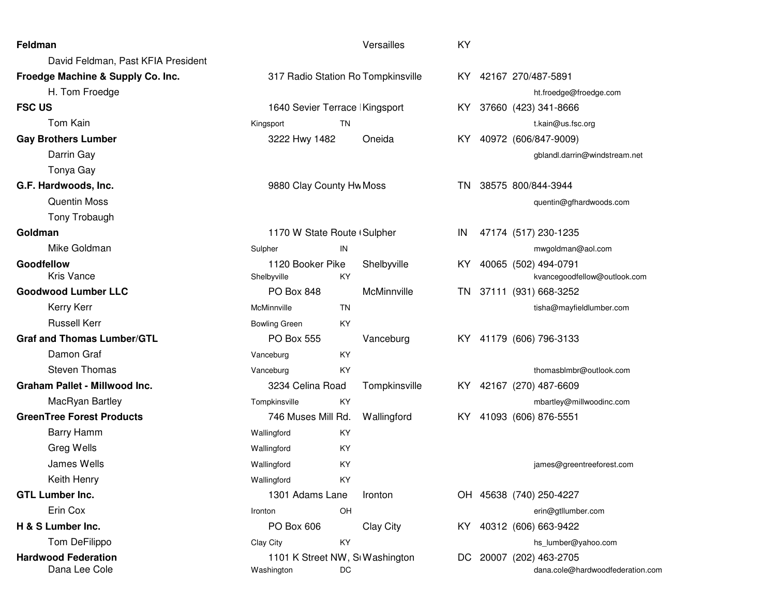| Feldman                              |                                    |           | Versailles    | KY   |                                  |
|--------------------------------------|------------------------------------|-----------|---------------|------|----------------------------------|
| David Feldman, Past KFIA President   |                                    |           |               |      |                                  |
| Froedge Machine & Supply Co. Inc.    | 317 Radio Station Ro Tompkinsville |           |               |      | KY 42167 270/487-5891            |
| H. Tom Froedge                       |                                    |           |               |      | ht.froedge@froedge.com           |
| <b>FSC US</b>                        | 1640 Sevier Terrace Kingsport      |           |               | KY.  | 37660 (423) 341-8666             |
| Tom Kain                             | Kingsport                          | <b>TN</b> |               |      | t.kain@us.fsc.org                |
| <b>Gay Brothers Lumber</b>           | 3222 Hwy 1482                      |           | Oneida        | KY.  | 40972 (606/847-9009)             |
| Darrin Gay                           |                                    |           |               |      | gblandl.darrin@windstream.net    |
| Tonya Gay                            |                                    |           |               |      |                                  |
| G.F. Hardwoods, Inc.                 | 9880 Clay County Hw Moss           |           |               | TN   | 38575 800/844-3944               |
| <b>Quentin Moss</b>                  |                                    |           |               |      | quentin@gfhardwoods.com          |
| Tony Trobaugh                        |                                    |           |               |      |                                  |
| Goldman                              | 1170 W State Route (Sulpher        |           |               | IN   | 47174 (517) 230-1235             |
| Mike Goldman                         | Sulpher                            | IN        |               |      | mwgoldman@aol.com                |
| Goodfellow                           | 1120 Booker Pike                   |           | Shelbyville   |      | KY 40065 (502) 494-0791          |
| <b>Kris Vance</b>                    | Shelbyville                        | KY        |               |      | kvancegoodfellow@outlook.com     |
| <b>Goodwood Lumber LLC</b>           | <b>PO Box 848</b>                  |           | McMinnville   |      | TN 37111 (931) 668-3252          |
| Kerry Kerr                           | McMinnville                        | TN        |               |      | tisha@mayfieldlumber.com         |
| <b>Russell Kerr</b>                  | <b>Bowling Green</b>               | KY        |               |      |                                  |
| <b>Graf and Thomas Lumber/GTL</b>    | PO Box 555                         |           | Vanceburg     |      | KY 41179 (606) 796-3133          |
| Damon Graf                           | Vanceburg                          | KY        |               |      |                                  |
| <b>Steven Thomas</b>                 | Vanceburg                          | KY        |               |      | thomasblmbr@outlook.com          |
| <b>Graham Pallet - Millwood Inc.</b> | 3234 Celina Road                   |           | Tompkinsville |      | KY 42167 (270) 487-6609          |
| MacRyan Bartley                      | Tompkinsville                      | KY        |               |      | mbartley@millwoodinc.com         |
| <b>GreenTree Forest Products</b>     | 746 Muses Mill Rd.                 |           | Wallingford   | KY . | 41093 (606) 876-5551             |
| <b>Barry Hamm</b>                    | Wallingford                        | KY        |               |      |                                  |
| Greg Wells                           | Wallingford                        | KY        |               |      |                                  |
| James Wells                          | Wallingford                        | KY        |               |      | james@greentreeforest.com        |
| Keith Henry                          | Wallingford                        | ΚY        |               |      |                                  |
| <b>GTL Lumber Inc.</b>               | 1301 Adams Lane                    |           | Ironton       |      | OH 45638 (740) 250-4227          |
| Erin Cox                             | Ironton                            | OH        |               |      | erin@gtllumber.com               |
| H & S Lumber Inc.                    | PO Box 606                         |           | Clay City     | KY.  | 40312 (606) 663-9422             |
| Tom DeFilippo                        | Clay City                          | KY        |               |      | hs_lumber@yahoo.com              |
| <b>Hardwood Federation</b>           | 1101 K Street NW, SI Washington    |           |               | DC.  | 20007 (202) 463-2705             |
| Dana Lee Cole                        | Washington                         | DC        |               |      | dana.cole@hardwoodfederation.com |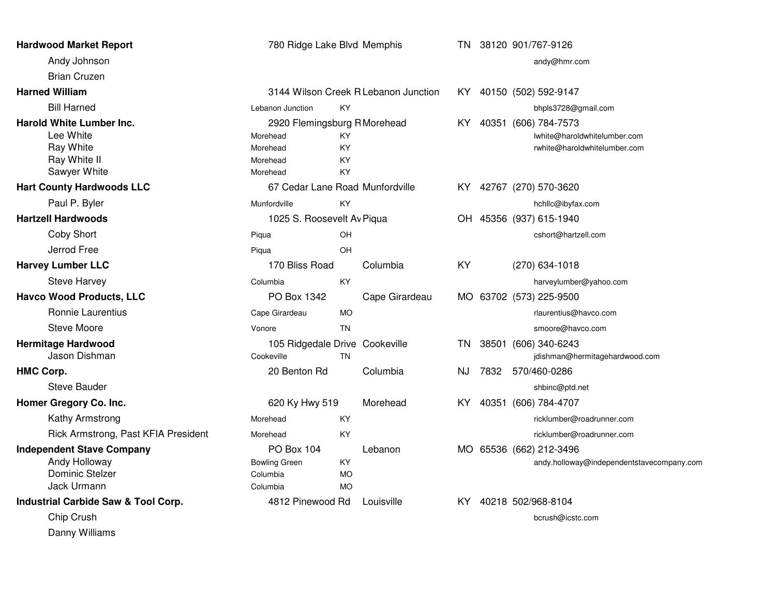| <b>Hardwood Market Report</b>                                                              | 780 Ridge Lake Blvd Memphis                                                  |                                     |                                      | TN.  |      | 38120 901/767-9126                                                                   |
|--------------------------------------------------------------------------------------------|------------------------------------------------------------------------------|-------------------------------------|--------------------------------------|------|------|--------------------------------------------------------------------------------------|
| Andy Johnson                                                                               |                                                                              |                                     |                                      |      |      | andy@hmr.com                                                                         |
| <b>Brian Cruzen</b>                                                                        |                                                                              |                                     |                                      |      |      |                                                                                      |
| <b>Harned William</b>                                                                      |                                                                              |                                     | 3144 Wilson Creek R Lebanon Junction |      |      | KY 40150 (502) 592-9147                                                              |
| <b>Bill Harned</b>                                                                         | Lebanon Junction                                                             | KY                                  |                                      |      |      | bhpls3728@gmail.com                                                                  |
| <b>Harold White Lumber Inc.</b><br>Lee White<br>Ray White<br>Ray White II<br>Sawyer White  | 2920 Flemingsburg R Morehead<br>Morehead<br>Morehead<br>Morehead<br>Morehead | KY<br>KY<br>KY<br>KY                |                                      | KY.  |      | 40351 (606) 784-7573<br>lwhite@haroldwhitelumber.com<br>rwhite@haroldwhitelumber.com |
| <b>Hart County Hardwoods LLC</b>                                                           | 67 Cedar Lane Road Munfordville                                              |                                     |                                      | KY I |      | 42767 (270) 570-3620                                                                 |
| Paul P. Byler                                                                              | Munfordville                                                                 | KY                                  |                                      |      |      | hchllc@ibyfax.com                                                                    |
| <b>Hartzell Hardwoods</b>                                                                  | 1025 S. Roosevelt Av Piqua                                                   |                                     |                                      |      |      | OH 45356 (937) 615-1940                                                              |
| <b>Coby Short</b>                                                                          | Piqua                                                                        | OH                                  |                                      |      |      | cshort@hartzell.com                                                                  |
| Jerrod Free                                                                                | Piqua                                                                        | OH                                  |                                      |      |      |                                                                                      |
| <b>Harvey Lumber LLC</b>                                                                   | 170 Bliss Road                                                               |                                     | Columbia                             | KY   |      | $(270)$ 634-1018                                                                     |
| <b>Steve Harvey</b>                                                                        | Columbia                                                                     | KY                                  |                                      |      |      | harveylumber@yahoo.com                                                               |
| <b>Havco Wood Products, LLC</b>                                                            | PO Box 1342                                                                  |                                     | Cape Girardeau                       | MO.  |      | 63702 (573) 225-9500                                                                 |
| Ronnie Laurentius                                                                          | Cape Girardeau                                                               | <b>MO</b>                           |                                      |      |      | rlaurentius@havco.com                                                                |
| <b>Steve Moore</b>                                                                         | Vonore                                                                       | <b>TN</b>                           |                                      |      |      | smoore@havco.com                                                                     |
| <b>Hermitage Hardwood</b><br>Jason Dishman                                                 | 105 Ridgedale Drive Cookeville<br>Cookeville                                 | <b>TN</b>                           |                                      | TN.  |      | 38501 (606) 340-6243<br>jdishman@hermitagehardwood.com                               |
| <b>HMC Corp.</b>                                                                           | 20 Benton Rd                                                                 |                                     | Columbia                             | NJ   | 7832 | 570/460-0286                                                                         |
| <b>Steve Bauder</b>                                                                        |                                                                              |                                     |                                      |      |      | shbinc@ptd.net                                                                       |
| Homer Gregory Co. Inc.                                                                     | 620 Ky Hwy 519                                                               |                                     | Morehead                             | KY.  |      | 40351 (606) 784-4707                                                                 |
| Kathy Armstrong                                                                            | Morehead                                                                     | KY                                  |                                      |      |      | ricklumber@roadrunner.com                                                            |
| Rick Armstrong, Past KFIA President                                                        | Morehead                                                                     | KY                                  |                                      |      |      | ricklumber@roadrunner.com                                                            |
| <b>Independent Stave Company</b><br>Andy Holloway<br><b>Dominic Stelzer</b><br>Jack Urmann | <b>PO Box 104</b><br><b>Bowling Green</b><br>Columbia<br>Columbia            | <b>KY</b><br><b>MO</b><br><b>MO</b> | Lebanon                              |      |      | MO 65536 (662) 212-3496<br>andy.holloway@independentstavecompany.com                 |
| Industrial Carbide Saw & Tool Corp.                                                        | 4812 Pinewood Rd                                                             |                                     | Louisville                           | KY.  |      | 40218 502/968-8104                                                                   |
| Chip Crush                                                                                 |                                                                              |                                     |                                      |      |      | bcrush@icstc.com                                                                     |
| Danny Williams                                                                             |                                                                              |                                     |                                      |      |      |                                                                                      |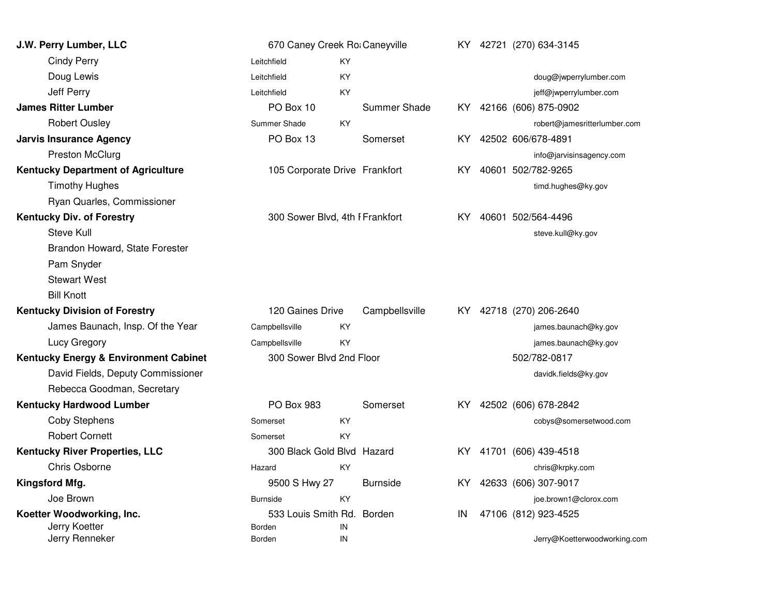| J.W. Perry Lumber, LLC                    | 670 Caney Creek Ro: Caneyville  |            |                 |     | KY 42721 (270) 634-3145      |
|-------------------------------------------|---------------------------------|------------|-----------------|-----|------------------------------|
| <b>Cindy Perry</b>                        | Leitchfield                     | KY.        |                 |     |                              |
| Doug Lewis                                | Leitchfield                     | KY         |                 |     | doug@jwperrylumber.com       |
| Jeff Perry                                | Leitchfield                     | KY         |                 |     | jeff@jwperrylumber.com       |
| <b>James Ritter Lumber</b>                | PO Box 10                       |            | Summer Shade    |     | KY 42166 (606) 875-0902      |
| <b>Robert Ousley</b>                      | Summer Shade                    | KY.        |                 |     | robert@jamesritterlumber.com |
| <b>Jarvis Insurance Agency</b>            | PO Box 13                       |            | Somerset        | KY. | 42502 606/678-4891           |
| <b>Preston McClurg</b>                    |                                 |            |                 |     | info@jarvisinsagency.com     |
| <b>Kentucky Department of Agriculture</b> | 105 Corporate Drive Frankfort   |            |                 | KY. | 40601 502/782-9265           |
| <b>Timothy Hughes</b>                     |                                 |            |                 |     | timd.hughes@ky.gov           |
| Ryan Quarles, Commissioner                |                                 |            |                 |     |                              |
| <b>Kentucky Div. of Forestry</b>          | 300 Sower Blvd, 4th I Frankfort |            |                 | KY. | 40601 502/564-4496           |
| Steve Kull                                |                                 |            |                 |     | steve.kull@ky.gov            |
| Brandon Howard, State Forester            |                                 |            |                 |     |                              |
| Pam Snyder                                |                                 |            |                 |     |                              |
| <b>Stewart West</b>                       |                                 |            |                 |     |                              |
| <b>Bill Knott</b>                         |                                 |            |                 |     |                              |
| <b>Kentucky Division of Forestry</b>      | 120 Gaines Drive                |            | Campbellsville  | KY. | 42718 (270) 206-2640         |
| James Baunach, Insp. Of the Year          | Campbellsville                  | KY         |                 |     | james.baunach@ky.gov         |
| Lucy Gregory                              | Campbellsville                  | KY         |                 |     | james.baunach@ky.gov         |
| Kentucky Energy & Environment Cabinet     | 300 Sower Blvd 2nd Floor        |            |                 |     | 502/782-0817                 |
| David Fields, Deputy Commissioner         |                                 |            |                 |     | davidk.fields@ky.gov         |
| Rebecca Goodman, Secretary                |                                 |            |                 |     |                              |
| <b>Kentucky Hardwood Lumber</b>           | PO Box 983                      |            | Somerset        | KY. | 42502 (606) 678-2842         |
| <b>Coby Stephens</b>                      | Somerset                        | KY         |                 |     | cobys@somersetwood.com       |
| <b>Robert Cornett</b>                     | Somerset                        | KY         |                 |     |                              |
| <b>Kentucky River Properties, LLC</b>     | 300 Black Gold Blvd Hazard      |            |                 | KY  | 41701 (606) 439-4518         |
| Chris Osborne                             | Hazard                          | KY         |                 |     | chris@krpky.com              |
| Kingsford Mfg.                            | 9500 S Hwy 27                   |            | <b>Burnside</b> | KY. | 42633 (606) 307-9017         |
| Joe Brown                                 | <b>Burnside</b>                 | KY         |                 |     | joe.brown1@clorox.com        |
| Koetter Woodworking, Inc.                 | 533 Louis Smith Rd. Borden      |            |                 | IN  | 47106 (812) 923-4525         |
| Jerry Koetter                             | Borden                          | IN         |                 |     |                              |
| Jerry Renneker                            | Borden                          | ${\sf IN}$ |                 |     | Jerry@Koetterwoodworking.com |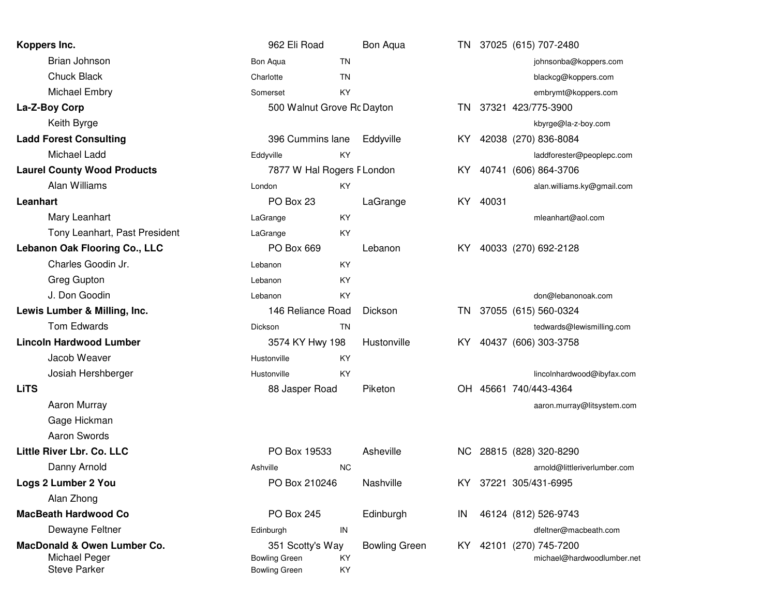| Koppers Inc.                                                        | 962 Eli Road                                                     |                            | Bon Aqua             |      |       | TN 37025 (615) 707-2480                               |
|---------------------------------------------------------------------|------------------------------------------------------------------|----------------------------|----------------------|------|-------|-------------------------------------------------------|
| <b>Brian Johnson</b>                                                | Bon Aqua                                                         | TN                         |                      |      |       | johnsonba@koppers.com                                 |
| <b>Chuck Black</b>                                                  | Charlotte                                                        | <b>TN</b>                  |                      |      |       | blackcg@koppers.com                                   |
| Michael Embry                                                       | Somerset                                                         | KY                         |                      |      |       | embrymt@koppers.com                                   |
| La-Z-Boy Corp                                                       |                                                                  | 500 Walnut Grove Rc Dayton |                      | TN.  |       | 37321 423/775-3900                                    |
| Keith Byrge                                                         |                                                                  |                            |                      |      |       | kbyrge@la-z-boy.com                                   |
| <b>Ladd Forest Consulting</b>                                       | 396 Cummins lane                                                 |                            | Eddyville            | KY I |       | 42038 (270) 836-8084                                  |
| Michael Ladd                                                        | Eddyville                                                        | KY                         |                      |      |       | laddforester@peoplepc.com                             |
| <b>Laurel County Wood Products</b>                                  | 7877 W Hal Rogers F London                                       |                            |                      | KY.  |       | 40741 (606) 864-3706                                  |
| Alan Williams                                                       | London                                                           | KY                         |                      |      |       | alan.williams.ky@gmail.com                            |
| Leanhart                                                            | PO Box 23                                                        |                            | LaGrange             | KY.  | 40031 |                                                       |
| Mary Leanhart                                                       | LaGrange                                                         | KY                         |                      |      |       | mleanhart@aol.com                                     |
| Tony Leanhart, Past President                                       | LaGrange                                                         | KY                         |                      |      |       |                                                       |
| <b>Lebanon Oak Flooring Co., LLC</b>                                | PO Box 669                                                       |                            | Lebanon              | KY.  |       | 40033 (270) 692-2128                                  |
| Charles Goodin Jr.                                                  | Lebanon                                                          | KY                         |                      |      |       |                                                       |
| Greg Gupton                                                         | Lebanon                                                          | KY                         |                      |      |       |                                                       |
| J. Don Goodin                                                       | Lebanon                                                          | KY                         |                      |      |       | don@lebanonoak.com                                    |
| Lewis Lumber & Milling, Inc.                                        | 146 Reliance Road                                                |                            | Dickson              | TN - |       | 37055 (615) 560-0324                                  |
| Tom Edwards                                                         | <b>Dickson</b>                                                   | TN                         |                      |      |       | tedwards@lewismilling.com                             |
| <b>Lincoln Hardwood Lumber</b>                                      | 3574 KY Hwy 198                                                  |                            | Hustonville          | KY.  |       | 40437 (606) 303-3758                                  |
| Jacob Weaver                                                        | Hustonville                                                      | KY                         |                      |      |       |                                                       |
| Josiah Hershberger                                                  | Hustonville                                                      | <b>KY</b>                  |                      |      |       | lincolnhardwood@ibyfax.com                            |
| <b>LiTS</b>                                                         | 88 Jasper Road                                                   |                            | Piketon              |      |       | OH 45661 740/443-4364                                 |
| Aaron Murray                                                        |                                                                  |                            |                      |      |       | aaron.murray@litsystem.com                            |
| Gage Hickman                                                        |                                                                  |                            |                      |      |       |                                                       |
| Aaron Swords                                                        |                                                                  |                            |                      |      |       |                                                       |
| Little River Lbr. Co. LLC                                           | PO Box 19533                                                     |                            | Asheville            | NC . |       | 28815 (828) 320-8290                                  |
| Danny Arnold                                                        | Ashville                                                         | <b>NC</b>                  |                      |      |       | arnold@littleriverlumber.com                          |
| Logs 2 Lumber 2 You                                                 | PO Box 210246                                                    |                            | Nashville            | KY.  |       | 37221 305/431-6995                                    |
| Alan Zhong                                                          |                                                                  |                            |                      |      |       |                                                       |
| <b>MacBeath Hardwood Co</b>                                         | PO Box 245                                                       |                            | Edinburgh            | IN   |       | 46124 (812) 526-9743                                  |
| Dewayne Feltner                                                     | Edinburgh                                                        | IN                         |                      |      |       | dfeltner@macbeath.com                                 |
| MacDonald & Owen Lumber Co.<br>Michael Peger<br><b>Steve Parker</b> | 351 Scotty's Way<br><b>Bowling Green</b><br><b>Bowling Green</b> | KY<br>KY                   | <b>Bowling Green</b> |      |       | KY 42101 (270) 745-7200<br>michael@hardwoodlumber.net |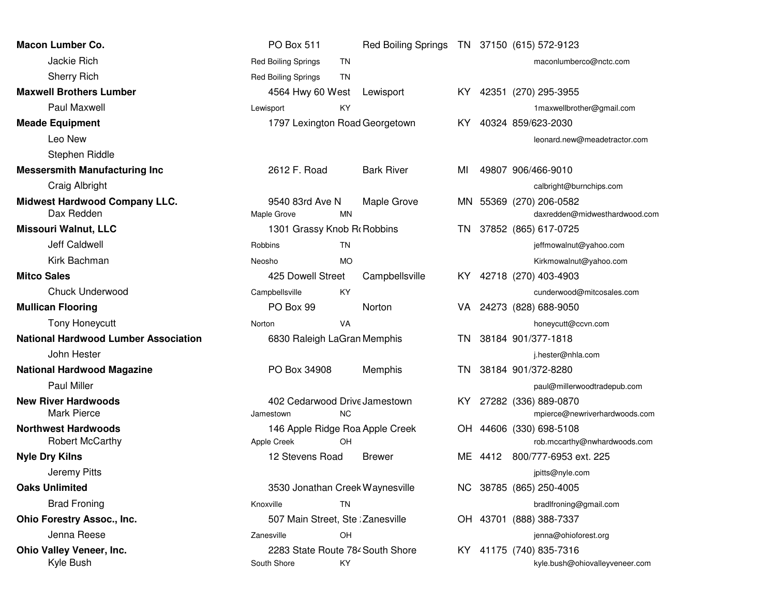| <b>Macon Lumber Co.</b>                              | PO Box 511                                      |           | <b>Red Boiling Springs</b> |      | TN 37150 (615) 572-9123                                   |
|------------------------------------------------------|-------------------------------------------------|-----------|----------------------------|------|-----------------------------------------------------------|
| Jackie Rich                                          | <b>Red Boiling Springs</b>                      | TN        |                            |      | maconlumberco@nctc.com                                    |
| <b>Sherry Rich</b>                                   | <b>Red Boiling Springs</b>                      | TN        |                            |      |                                                           |
| <b>Maxwell Brothers Lumber</b>                       | 4564 Hwy 60 West                                |           | Lewisport                  | KY I | 42351 (270) 295-3955                                      |
| Paul Maxwell                                         | Lewisport                                       | KY        |                            |      | 1maxwellbrother@gmail.com                                 |
| <b>Meade Equipment</b>                               | 1797 Lexington Road Georgetown                  |           |                            | KY.  | 40324 859/623-2030                                        |
| Leo New                                              |                                                 |           |                            |      | leonard.new@meadetractor.com                              |
| Stephen Riddle                                       |                                                 |           |                            |      |                                                           |
| <b>Messersmith Manufacturing Inc</b>                 | 2612 F. Road                                    |           | <b>Bark River</b>          | ΜI   | 49807 906/466-9010                                        |
| Craig Albright                                       |                                                 |           |                            |      | calbright@burnchips.com                                   |
| <b>Midwest Hardwood Company LLC.</b><br>Dax Redden   | 9540 83rd Ave N<br>Maple Grove                  | <b>MN</b> | Maple Grove                |      | MN 55369 (270) 206-0582<br>daxredden@midwesthardwood.com  |
| <b>Missouri Walnut, LLC</b>                          | 1301 Grassy Knob R Robbins                      |           |                            | TN   | 37852 (865) 617-0725                                      |
| Jeff Caldwell                                        | Robbins                                         | TN        |                            |      | jeffmowalnut@yahoo.com                                    |
| Kirk Bachman                                         | Neosho                                          | <b>MO</b> |                            |      | Kirkmowalnut@yahoo.com                                    |
| <b>Mitco Sales</b>                                   | 425 Dowell Street                               |           | Campbellsville             |      | KY 42718 (270) 403-4903                                   |
| <b>Chuck Underwood</b>                               | Campbellsville                                  | KY        |                            |      | cunderwood@mitcosales.com                                 |
| <b>Mullican Flooring</b>                             | PO Box 99                                       |           | Norton                     | VA.  | 24273 (828) 688-9050                                      |
| <b>Tony Honeycutt</b>                                | Norton                                          | <b>VA</b> |                            |      | honeycutt@ccvn.com                                        |
| <b>National Hardwood Lumber Association</b>          | 6830 Raleigh LaGran Memphis                     |           |                            | TN.  | 38184 901/377-1818                                        |
| John Hester                                          |                                                 |           |                            |      | j.hester@nhla.com                                         |
| <b>National Hardwood Magazine</b>                    | PO Box 34908                                    |           | Memphis                    | TN   | 38184 901/372-8280                                        |
| <b>Paul Miller</b>                                   |                                                 |           |                            |      | paul@millerwoodtradepub.com                               |
| <b>New River Hardwoods</b><br>Mark Pierce            | 402 Cedarwood Drive Jamestown<br>Jamestown      | <b>NC</b> |                            | KY.  | 27282 (336) 889-0870<br>mpierce@newriverhardwoods.com     |
| <b>Northwest Hardwoods</b><br><b>Robert McCarthy</b> | 146 Apple Ridge Roa Apple Creek<br>Apple Creek  | OH        |                            |      | OH 44606 (330) 698-5108<br>rob.mccarthy@nwhardwoods.com   |
| <b>Nyle Dry Kilns</b>                                | 12 Stevens Road                                 |           | <b>Brewer</b>              | ME.  | 4412 800/777-6953 ext. 225                                |
| <b>Jeremy Pitts</b>                                  |                                                 |           |                            |      | jpitts@nyle.com                                           |
| <b>Oaks Unlimited</b>                                | 3530 Jonathan Creek Waynesville                 |           |                            | NC.  | 38785 (865) 250-4005                                      |
| <b>Brad Froning</b>                                  | Knoxville                                       | <b>TN</b> |                            |      | bradlfroning@gmail.com                                    |
| <b>Ohio Forestry Assoc., Inc.</b>                    | 507 Main Street, Ste Zanesville                 |           |                            |      | OH 43701 (888) 388-7337                                   |
| Jenna Reese                                          | Zanesville                                      | OH        |                            |      | jenna@ohioforest.org                                      |
| Ohio Valley Veneer, Inc.<br>Kyle Bush                | 2283 State Route 784 South Shore<br>South Shore | KY        |                            |      | KY 41175 (740) 835-7316<br>kyle.bush@ohiovalleyveneer.com |
|                                                      |                                                 |           |                            |      |                                                           |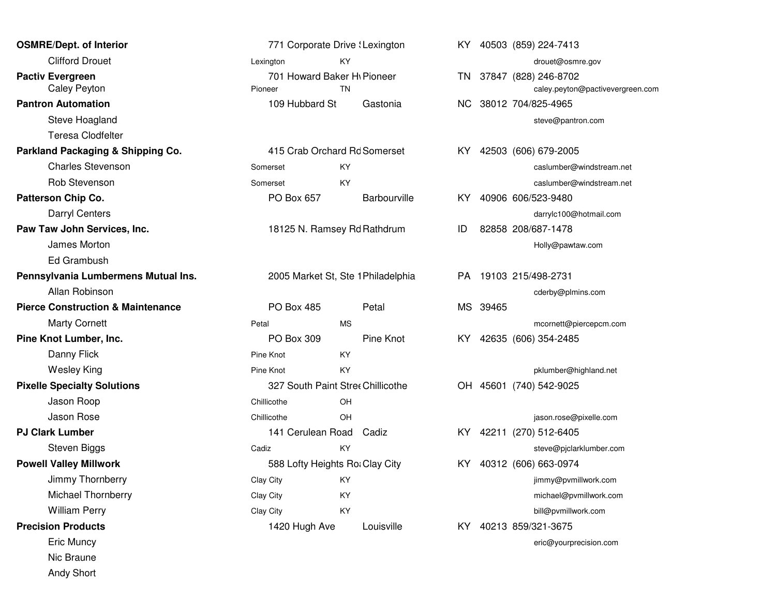| <b>OSMRE/Dept. of Interior</b>               |                   | 771 Corporate Drive : Lexington               |              |    |          | KY 40503 (859) 224-7413                           |
|----------------------------------------------|-------------------|-----------------------------------------------|--------------|----|----------|---------------------------------------------------|
| <b>Clifford Drouet</b>                       | Lexington         | KY.                                           |              |    |          | drouet@osmre.gov                                  |
| <b>Pactiv Evergreen</b><br>Caley Peyton      | Pioneer           | 701 Howard Baker H <sub>1</sub> Pioneer<br>TN |              |    |          | TN 37847 (828) 246-8702<br>caley.peyton@pactiveve |
| <b>Pantron Automation</b>                    | 109 Hubbard St    |                                               | Gastonia     |    |          | NC 38012 704/825-4965                             |
| Steve Hoagland                               |                   |                                               |              |    |          | steve@pantron.com                                 |
| <b>Teresa Clodfelter</b>                     |                   |                                               |              |    |          |                                                   |
| Parkland Packaging & Shipping Co.            |                   | 415 Crab Orchard Rd Somerset                  |              |    |          | KY 42503 (606) 679-2005                           |
| <b>Charles Stevenson</b>                     | Somerset          | ΚY                                            |              |    |          | caslumber@windstream                              |
| Rob Stevenson                                | Somerset          | <b>KY</b>                                     |              |    |          | caslumber@windstream                              |
| Patterson Chip Co.                           | PO Box 657        |                                               | Barbourville |    |          | KY 40906 606/523-9480                             |
| <b>Darryl Centers</b>                        |                   |                                               |              |    |          | darrylc100@hotmail.cor                            |
| Paw Taw John Services, Inc.                  |                   | 18125 N. Ramsey Rd Rathdrum                   |              | ID |          | 82858 208/687-1478                                |
| James Morton                                 |                   |                                               |              |    |          | Holly@pawtaw.com                                  |
| Ed Grambush                                  |                   |                                               |              |    |          |                                                   |
| Pennsylvania Lumbermens Mutual Ins.          |                   | 2005 Market St, Ste 1 Philadelphia            |              |    |          | PA 19103 215/498-2731                             |
| Allan Robinson                               |                   |                                               |              |    |          | cderby@plmins.com                                 |
| <b>Pierce Construction &amp; Maintenance</b> | <b>PO Box 485</b> | Petal                                         |              |    | MS 39465 |                                                   |
| <b>Marty Cornett</b>                         | Petal             | <b>MS</b>                                     |              |    |          | mcornett@piercepcm.co                             |
| Pine Knot Lumber, Inc.                       | PO Box 309        |                                               | Pine Knot    |    |          | KY 42635 (606) 354-2485                           |
| Danny Flick                                  | Pine Knot         | KY.                                           |              |    |          |                                                   |
| <b>Wesley King</b>                           | Pine Knot         | KY.                                           |              |    |          | pklumber@highland.net                             |
| <b>Pixelle Specialty Solutions</b>           |                   | 327 South Paint Stree Chillicothe             |              |    |          | OH 45601 (740) 542-9025                           |
| Jason Roop                                   | Chillicothe       | OH                                            |              |    |          |                                                   |
| Jason Rose                                   | Chillicothe       | OH                                            |              |    |          | jason.rose@pixelle.com                            |
| <b>PJ Clark Lumber</b>                       |                   | 141 Cerulean Road Cadiz                       |              |    |          | KY 42211 (270) 512-6405                           |
| Steven Biggs                                 | Cadiz             | KY                                            |              |    |          | steve@pjclarklumber.co                            |
| <b>Powell Valley Millwork</b>                |                   | 588 Lofty Heights Ro: Clay City               |              |    |          | KY 40312 (606) 663-0974                           |
| Jimmy Thornberry                             | Clay City         | KY                                            |              |    |          | jimmy@pvmillwork.com                              |
| Michael Thornberry                           | Clay City         | KY                                            |              |    |          | michael@pvmillwork.co                             |
| <b>William Perry</b>                         | Clay City         | KY.                                           |              |    |          | bill@pvmillwork.com                               |
| <b>Precision Products</b>                    | 1420 Hugh Ave     |                                               | Louisville   |    |          | KY 40213 859/321-3675                             |
| Eric Muncy                                   |                   |                                               |              |    |          | eric@yourprecision.com                            |
| Nic Braune                                   |                   |                                               |              |    |          |                                                   |
| <b>Andy Short</b>                            |                   |                                               |              |    |          |                                                   |

| f Interior            |                   | 771 Corporate Drive 'Lexington                       |    |          | KY 40503 (859) 224-7413                        |
|-----------------------|-------------------|------------------------------------------------------|----|----------|------------------------------------------------|
| rouet                 | Lexington         | <b>KY</b>                                            |    |          | drouet@osmre.gov                               |
| n<br>/ton             | Pioneer           | 701 Howard Baker H <sub>l</sub> Pioneer<br><b>TN</b> |    |          | TN 37847 (828) 246-8702<br>caley.peyton@pactiv |
| ation                 | 109 Hubbard St    | Gastonia                                             |    |          | NC 38012 704/825-4965                          |
| agland                |                   |                                                      |    |          | steve@pantron.com                              |
| lodfelter             |                   |                                                      |    |          |                                                |
| ging & Shipping Co.   |                   | 415 Crab Orchard Rd Somerset                         |    |          | KY 42503 (606) 679-2005                        |
| itevenson             | Somerset          | KY                                                   |    |          | caslumber@windstr                              |
| enson                 | Somerset          | <b>KY</b>                                            |    |          | caslumber@windstr                              |
| Co.                   | PO Box 657        | Barbourville                                         |    |          | KY 40906 606/523-9480                          |
| nters                 |                   |                                                      |    |          | darrylc100@hotmail                             |
| Services, Inc.        |                   | 18125 N. Ramsey Rd Rathdrum                          | ID |          | 82858 208/687-1478                             |
| orton                 |                   |                                                      |    |          | Holly@pawtaw.com                               |
| วนรh                  |                   |                                                      |    |          |                                                |
| umbermens Mutual Ins. |                   | 2005 Market St, Ste 1 Philadelphia                   |    |          | PA 19103 215/498-2731                          |
| inson                 |                   |                                                      |    |          | cderby@plmins.com                              |
| tion & Maintenance:   | <b>PO Box 485</b> | Petal                                                |    | MS 39465 |                                                |
| nett                  | Petal             | <b>MS</b>                                            |    |          | mcornett@piercepcr                             |
| er, Inc.              | PO Box 309        | Pine Knot                                            |    |          | KY 42635 (606) 354-2485                        |
| ck                    | Pine Knot         | KY                                                   |    |          |                                                |
| ıng                   | Pine Knot         | <b>KY</b>                                            |    |          | pklumber@highland                              |
| / Solutions           |                   | 327 South Paint Stree Chillicothe                    |    |          | OH 45601 (740) 542-9025                        |
| op                    | Chillicothe       | OH                                                   |    |          |                                                |
| se                    | Chillicothe       | <b>OH</b>                                            |    |          | jason.rose@pixelle.o                           |
| r                     |                   | 141 Cerulean Road Cadiz                              |    |          | KY 42211 (270) 512-6405                        |
| ggs                   | Cadiz             | <b>KY</b>                                            |    |          | steve@pjclarklumbe                             |
| illwork               |                   | 588 Lofty Heights Ro: Clay City                      |    |          | KY 40312 (606) 663-0974                        |
| ornberry              | Clay City         | KY                                                   |    |          | jimmy@pvmillwork.c                             |
| hornberry             | Clay City         | KY.                                                  |    |          | michael@pvmillwork                             |
| erry                  | Clay City         | KY                                                   |    |          | bill@pvmillwork.com                            |
| ıcts                  | 1420 Hugh Ave     | Louisville                                           |    |          | KY 40213 859/321-3675                          |
|                       |                   |                                                      |    |          |                                                |

| nterior              | 771 Corporate Drive \ Lexington   |                             |                                    |  |          | KY 40503 (859) 224-7413          |
|----------------------|-----------------------------------|-----------------------------|------------------------------------|--|----------|----------------------------------|
| uet                  | Lexington                         | KY                          |                                    |  |          | drouet@osmre.gov                 |
|                      | 701 Howard Baker Hy Pioneer       |                             |                                    |  |          | TN 37847 (828) 246-8702          |
| מכ                   | Pioneer                           | <b>TN</b>                   |                                    |  |          | caley.peyton@pactivevergreen.com |
| ion                  | 109 Hubbard St                    |                             | Gastonia                           |  |          | NC 38012 704/825-4965            |
| ıland                |                                   |                             |                                    |  |          | steve@pantron.com                |
| dfelter              |                                   |                             |                                    |  |          |                                  |
| ng & Shipping Co.    | 415 Crab Orchard Rd Somerset      |                             |                                    |  |          | KY 42503 (606) 679-2005          |
| evenson              | Somerset                          | KY                          |                                    |  |          | caslumber@windstream.net         |
| ıson                 | Somerset                          | KY                          |                                    |  |          | caslumber@windstream.net         |
| о.                   | PO Box 657                        |                             | <b>Barbourville</b>                |  |          | KY 40906 606/523-9480            |
| ers                  |                                   |                             |                                    |  |          | darrylc100@hotmail.com           |
| rvices, Inc.         |                                   | 18125 N. Ramsey Rd Rathdrum |                                    |  |          | 82858 208/687-1478               |
| ton                  |                                   |                             |                                    |  |          | Holly@pawtaw.com                 |
| ısh                  |                                   |                             |                                    |  |          |                                  |
| nbermens Mutual Ins. |                                   |                             | 2005 Market St, Ste 1 Philadelphia |  |          | PA 19103 215/498-2731            |
| son                  |                                   |                             |                                    |  |          | cderby@plmins.com                |
| on & Maintenance     | <b>PO Box 485</b>                 |                             | Petal                              |  | MS 39465 |                                  |
| ett                  | Petal                             | ΜS                          |                                    |  |          | mcornett@piercepcm.com           |
| r, Inc.              | PO Box 309                        |                             | Pine Knot                          |  |          | KY 42635 (606) 354-2485          |
|                      | Pine Knot                         | KY                          |                                    |  |          |                                  |
| g                    | Pine Knot                         | KY.                         |                                    |  |          | pklumber@highland.net            |
| <b>Solutions</b>     | 327 South Paint Stree Chillicothe |                             |                                    |  |          | OH 45601 (740) 542-9025          |
|                      | Chillicothe                       | OH                          |                                    |  |          |                                  |
|                      | Chillicothe                       | OН                          |                                    |  |          | jason.rose@pixelle.com           |
|                      | 141 Cerulean Road Cadiz           |                             |                                    |  |          | KY 42211 (270) 512-6405          |
| JS                   | Cadiz                             | KY                          |                                    |  |          | steve@pjclarklumber.com          |
| work                 | 588 Lofty Heights Ro: Clay City   |                             |                                    |  |          | KY 40312 (606) 663-0974          |
| rnberry              | Clay City                         | KY                          |                                    |  |          | jimmy@pvmillwork.com             |
| ornberry             | Clay City                         | KY                          |                                    |  |          | michael@pvmillwork.com           |
| ry                   | Clay City                         | KY                          |                                    |  |          | bill@pvmillwork.com              |
| ts                   | 1420 Hugh Ave                     |                             | Louisville                         |  |          | KY 40213 859/321-3675            |
|                      |                                   |                             |                                    |  |          | eric@vourprecision.com           |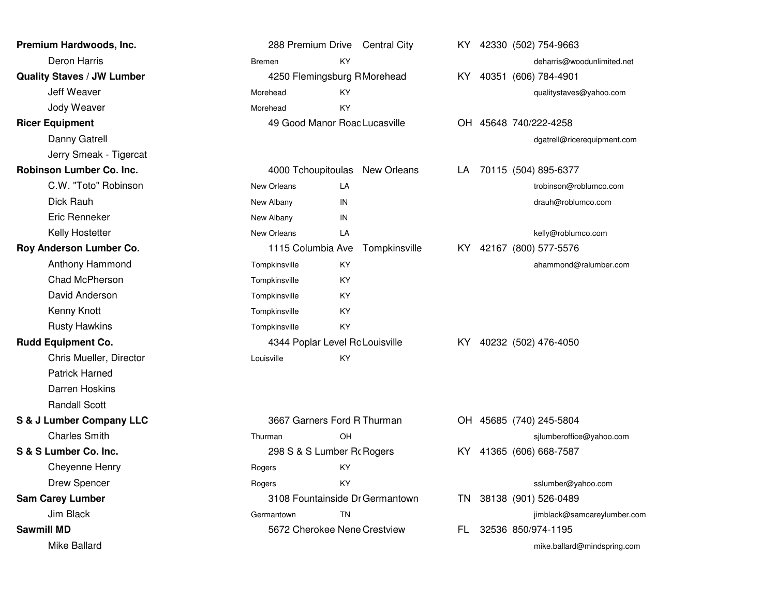| Premium Hardwoods, Inc.           |                                 | 288 Premium Drive Central City  |      | KY 42330 (502) 754-9663     |
|-----------------------------------|---------------------------------|---------------------------------|------|-----------------------------|
| Deron Harris                      | Bremen                          | KY                              |      | deharris@woodunlimited.net  |
| <b>Quality Staves / JW Lumber</b> |                                 | 4250 Flemingsburg R Morehead    | KY.  | 40351 (606) 784-4901        |
| Jeff Weaver                       | Morehead                        | KY                              |      | qualitystaves@yahoo.com     |
| Jody Weaver                       | Morehead                        | KY                              |      |                             |
| <b>Ricer Equipment</b>            |                                 | 49 Good Manor Roac Lucasville   |      | OH 45648 740/222-4258       |
| Danny Gatrell                     |                                 |                                 |      | dgatrell@ricerequipment.com |
| Jerry Smeak - Tigercat            |                                 |                                 |      |                             |
| <b>Robinson Lumber Co. Inc.</b>   |                                 | 4000 Tchoupitoulas New Orleans  |      | LA 70115 (504) 895-6377     |
| C.W. "Toto" Robinson              | New Orleans                     | LA                              |      | trobinson@roblumco.com      |
| Dick Rauh                         | New Albany                      | IN                              |      | drauh@roblumco.com          |
| Eric Renneker                     | New Albany                      | IN                              |      |                             |
| Kelly Hostetter                   | New Orleans                     | LA                              |      | kelly@roblumco.com          |
| Roy Anderson Lumber Co.           | 1115 Columbia Ave               | Tompkinsville                   | KY I | 42167 (800) 577-5576        |
| Anthony Hammond                   | Tompkinsville                   | KY                              |      | ahammond@ralumber.com       |
| Chad McPherson                    | Tompkinsville                   | KY                              |      |                             |
| David Anderson                    | Tompkinsville                   | KY                              |      |                             |
| Kenny Knott                       | Tompkinsville                   | KY                              |      |                             |
| <b>Rusty Hawkins</b>              | Tompkinsville                   | KY.                             |      |                             |
| <b>Rudd Equipment Co.</b>         | 4344 Poplar Level Rc Louisville |                                 | KY . | 40232 (502) 476-4050        |
| Chris Mueller, Director           | Louisville                      | KY.                             |      |                             |
| <b>Patrick Harned</b>             |                                 |                                 |      |                             |
| Darren Hoskins                    |                                 |                                 |      |                             |
| <b>Randall Scott</b>              |                                 |                                 |      |                             |
| S & J Lumber Company LLC          | 3667 Garners Ford R Thurman     |                                 |      | OH 45685 (740) 245-5804     |
| <b>Charles Smith</b>              | Thurman                         | OH                              |      | sjlumberoffice@yahoo.com    |
| S & S Lumber Co. Inc.             | 298 S & S Lumber Ro Rogers      |                                 | KY.  | 41365 (606) 668-7587        |
| Cheyenne Henry                    | Rogers                          | KY                              |      |                             |
| <b>Drew Spencer</b>               | Rogers                          | KY                              |      | sslumber@yahoo.com          |
| <b>Sam Carey Lumber</b>           |                                 | 3108 Fountainside Dr Germantown | TN.  | 38138 (901) 526-0489        |
| Jim Black                         | Germantown                      | TN                              |      | jimblack@samcareylumber.com |
| <b>Sawmill MD</b>                 |                                 | 5672 Cherokee Nene Crestview    | FL   | 32536 850/974-1195          |
| Mike Ballard                      |                                 |                                 |      | mike.ballard@mindspring.com |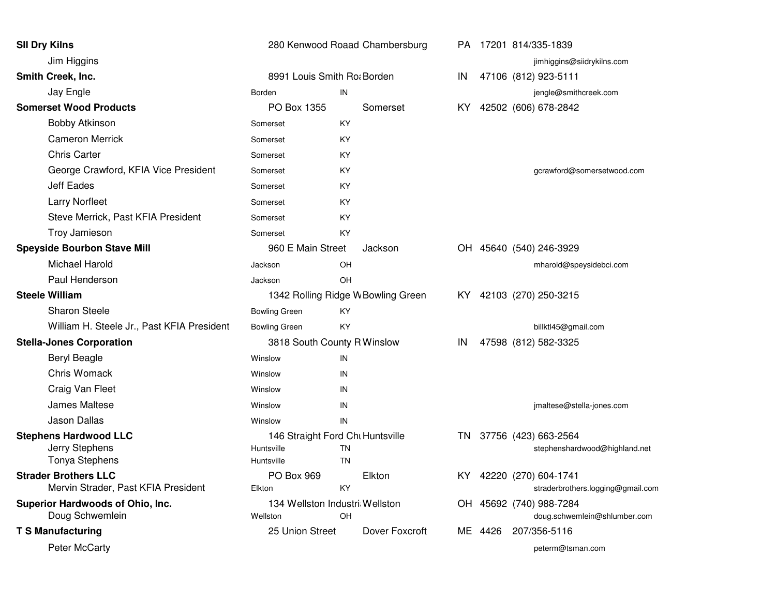| <b>SII Dry Kilns</b>                                                    | 280 Kenwood Roaad Chambersburg                               |                        |      |         | PA 17201 814/335-1839                                        |
|-------------------------------------------------------------------------|--------------------------------------------------------------|------------------------|------|---------|--------------------------------------------------------------|
| Jim Higgins                                                             |                                                              |                        |      |         | jimhiggins@siidrykilns.com                                   |
| Smith Creek, Inc.                                                       | 8991 Louis Smith Ro; Borden                                  |                        | IN   |         | 47106 (812) 923-5111                                         |
| Jay Engle                                                               | Borden                                                       | IN                     |      |         | jengle@smithcreek.com                                        |
| <b>Somerset Wood Products</b>                                           | PO Box 1355                                                  | Somerset               | KY.  |         | 42502 (606) 678-2842                                         |
| <b>Bobby Atkinson</b>                                                   | Somerset                                                     | KY                     |      |         |                                                              |
| <b>Cameron Merrick</b>                                                  | Somerset                                                     | KY.                    |      |         |                                                              |
| <b>Chris Carter</b>                                                     | Somerset                                                     | KY                     |      |         |                                                              |
| George Crawford, KFIA Vice President                                    | Somerset                                                     | KY                     |      |         | gcrawford@somersetwood.com                                   |
| <b>Jeff Eades</b>                                                       | Somerset                                                     | KY.                    |      |         |                                                              |
| <b>Larry Norfleet</b>                                                   | Somerset                                                     | KY                     |      |         |                                                              |
| Steve Merrick, Past KFIA President                                      | Somerset                                                     | KY                     |      |         |                                                              |
| Troy Jamieson                                                           | Somerset                                                     | KY                     |      |         |                                                              |
| <b>Speyside Bourbon Stave Mill</b>                                      | 960 E Main Street                                            | Jackson                |      |         | OH 45640 (540) 246-3929                                      |
| Michael Harold                                                          | Jackson                                                      | OH                     |      |         | mharold@speysidebci.com                                      |
| Paul Henderson                                                          | Jackson                                                      | OH                     |      |         |                                                              |
| <b>Steele William</b>                                                   | 1342 Rolling Ridge W Bowling Green                           |                        | KY I |         | 42103 (270) 250-3215                                         |
| <b>Sharon Steele</b>                                                    | <b>Bowling Green</b>                                         | KY.                    |      |         |                                                              |
| William H. Steele Jr., Past KFIA President                              | <b>Bowling Green</b>                                         | KY                     |      |         | billktl45@gmail.com                                          |
| <b>Stella-Jones Corporation</b>                                         | 3818 South County R Winslow                                  |                        | IN   |         | 47598 (812) 582-3325                                         |
| <b>Beryl Beagle</b>                                                     | Winslow                                                      | IN                     |      |         |                                                              |
| Chris Womack                                                            | Winslow                                                      | IN                     |      |         |                                                              |
| Craig Van Fleet                                                         | Winslow                                                      | IN                     |      |         |                                                              |
| James Maltese                                                           | Winslow                                                      | IN                     |      |         | jmaltese@stella-jones.com                                    |
| <b>Jason Dallas</b>                                                     | Winslow                                                      | IN                     |      |         |                                                              |
| <b>Stephens Hardwood LLC</b><br>Jerry Stephens<br><b>Tonya Stephens</b> | 146 Straight Ford Chi Huntsville<br>Huntsville<br>Huntsville | <b>TN</b><br><b>TN</b> | TN   |         | 37756 (423) 663-2564<br>stephenshardwood@highland.net        |
| <b>Strader Brothers LLC</b><br>Mervin Strader, Past KFIA President      | PO Box 969<br>Elkton                                         | Elkton<br>KY.          |      |         | KY 42220 (270) 604-1741<br>straderbrothers.logging@gmail.com |
| Superior Hardwoods of Ohio, Inc.                                        | 134 Wellston Industri Wellston                               |                        |      |         | OH 45692 (740) 988-7284                                      |
| Doug Schwemlein                                                         | Wellston                                                     | OH                     |      |         | doug.schwemlein@shlumber.com                                 |
| <b>T S Manufacturing</b>                                                | 25 Union Street                                              | Dover Foxcroft         |      | ME 4426 | 207/356-5116                                                 |
| Peter McCarty                                                           |                                                              |                        |      |         | peterm@tsman.com                                             |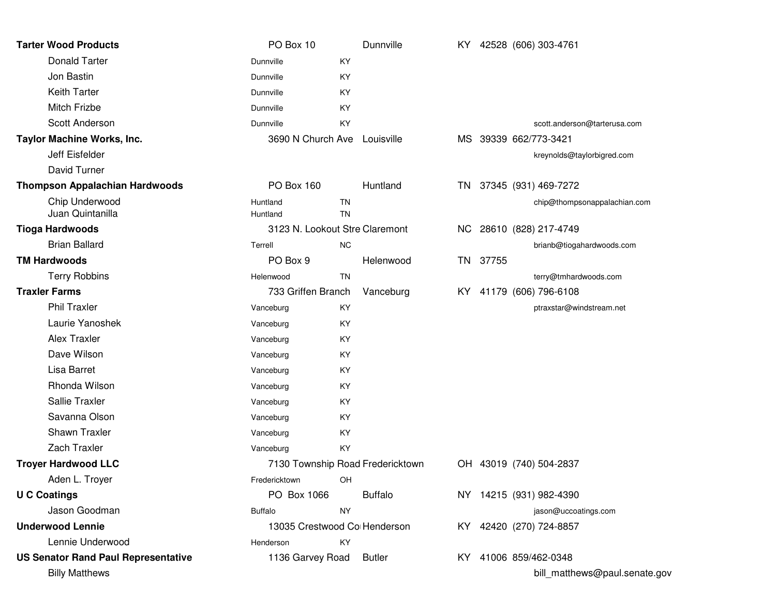| <b>Tarter Wood Products</b>                | PO Box 10                        |                 | Dunnville      |     |       | KY 42528 (606) 303-4761       |
|--------------------------------------------|----------------------------------|-----------------|----------------|-----|-------|-------------------------------|
| <b>Donald Tarter</b>                       | Dunnville                        | KY              |                |     |       |                               |
| Jon Bastin                                 | Dunnville                        | KY              |                |     |       |                               |
| <b>Keith Tarter</b>                        | Dunnville                        | KY              |                |     |       |                               |
| Mitch Frizbe                               | Dunnville                        | KY              |                |     |       |                               |
| Scott Anderson                             | Dunnville                        | KY              |                |     |       | scott.anderson@tarterusa.com  |
| Taylor Machine Works, Inc.                 | 3690 N Church Ave                |                 | Louisville     |     |       | MS 39339 662/773-3421         |
| Jeff Eisfelder                             |                                  |                 |                |     |       | kreynolds@taylorbigred.com    |
| David Turner                               |                                  |                 |                |     |       |                               |
| <b>Thompson Appalachian Hardwoods</b>      | PO Box 160                       |                 | Huntland       |     |       | TN 37345 (931) 469-7272       |
| Chip Underwood<br>Juan Quintanilla         | Huntland<br>Huntland             | TN<br><b>TN</b> |                |     |       | chip@thompsonappalachian.com  |
| <b>Tioga Hardwoods</b>                     | 3123 N. Lookout Stre Claremont   |                 |                |     |       | NC 28610 (828) 217-4749       |
| <b>Brian Ballard</b>                       | Terrell                          | <b>NC</b>       |                |     |       | brianb@tiogahardwoods.com     |
| <b>TM Hardwoods</b>                        | PO Box 9                         |                 | Helenwood      | TN. | 37755 |                               |
| <b>Terry Robbins</b>                       | Helenwood                        | <b>TN</b>       |                |     |       | terry@tmhardwoods.com         |
| <b>Traxler Farms</b>                       | 733 Griffen Branch               |                 | Vanceburg      |     |       | KY 41179 (606) 796-6108       |
| <b>Phil Traxler</b>                        | Vanceburg                        | KY              |                |     |       | ptraxstar@windstream.net      |
| Laurie Yanoshek                            | Vanceburg                        | KY              |                |     |       |                               |
| Alex Traxler                               | Vanceburg                        | KY              |                |     |       |                               |
| Dave Wilson                                | Vanceburg                        | KY              |                |     |       |                               |
| Lisa Barret                                | Vanceburg                        | KY              |                |     |       |                               |
| Rhonda Wilson                              | Vanceburg                        | KY              |                |     |       |                               |
| Sallie Traxler                             | Vanceburg                        | KY              |                |     |       |                               |
| Savanna Olson                              | Vanceburg                        | KY              |                |     |       |                               |
| Shawn Traxler                              | Vanceburg                        | KY              |                |     |       |                               |
| Zach Traxler                               | Vanceburg                        | KY              |                |     |       |                               |
| <b>Troyer Hardwood LLC</b>                 | 7130 Township Road Fredericktown |                 |                |     |       | OH 43019 (740) 504-2837       |
| Aden L. Troyer                             | Fredericktown                    | OH              |                |     |       |                               |
| <b>U C Coatings</b>                        | PO Box 1066                      |                 | <b>Buffalo</b> |     |       | NY 14215 (931) 982-4390       |
| Jason Goodman                              | <b>Buffalo</b>                   | <b>NY</b>       |                |     |       | jason@uccoatings.com          |
| <b>Underwood Lennie</b>                    | 13035 Crestwood Co Henderson     |                 |                |     |       | KY 42420 (270) 724-8857       |
| Lennie Underwood                           | Henderson                        | KY              |                |     |       |                               |
| <b>US Senator Rand Paul Representative</b> | 1136 Garvey Road                 |                 | <b>Butler</b>  |     |       | KY 41006 859/462-0348         |
| <b>Billy Matthews</b>                      |                                  |                 |                |     |       | bill_matthews@paul.senate.gov |